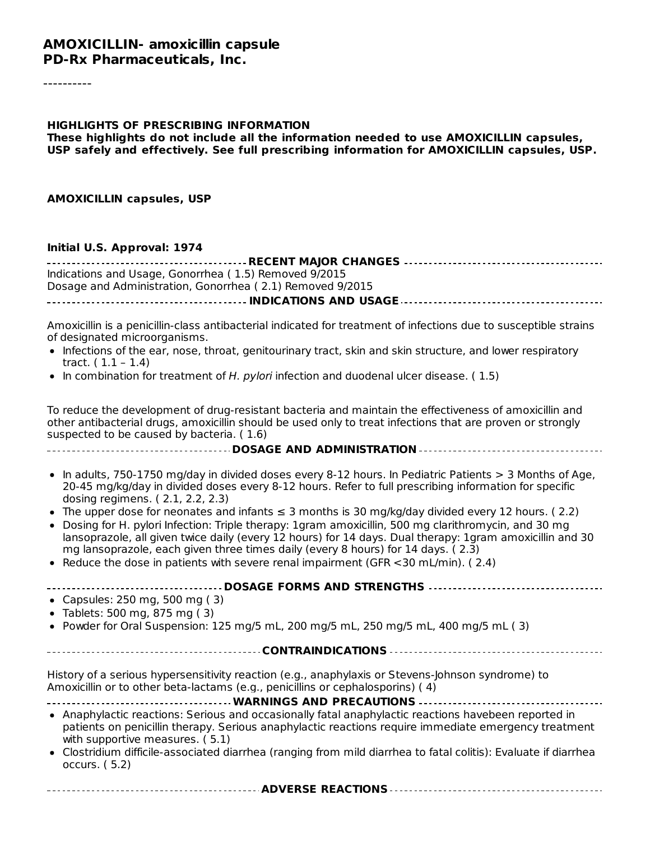#### **AMOXICILLIN- amoxicillin capsule PD-Rx Pharmaceuticals, Inc.**

# **HIGHLIGHTS OF PRESCRIBING INFORMATION These highlights do not include all the information needed to use AMOXICILLIN capsules, USP safely and effectively. See full prescribing information for AMOXICILLIN capsules, USP. AMOXICILLIN capsules, USP Initial U.S. Approval: 1974 RECENT MAJOR CHANGES** Indications and Usage, Gonorrhea ( 1.5) Removed 9/2015 Dosage and Administration, Gonorrhea ( 2.1) Removed 9/2015

**INDICATIONS AND USAGE**

Amoxicillin is a penicillin-class antibacterial indicated for treatment of infections due to susceptible strains of designated microorganisms.

- Infections of the ear, nose, throat, genitourinary tract, skin and skin structure, and lower respiratory tract. ( 1.1 – 1.4)
- In combination for treatment of H. pylori infection and duodenal ulcer disease. ( $1.5$ )

To reduce the development of drug-resistant bacteria and maintain the effectiveness of amoxicillin and other antibacterial drugs, amoxicillin should be used only to treat infections that are proven or strongly suspected to be caused by bacteria. ( 1.6)

**DOSAGE AND ADMINISTRATION**

- In adults, 750-1750 mg/day in divided doses every 8-12 hours. In Pediatric Patients > 3 Months of Age,  $\bullet$ 20-45 mg/kg/day in divided doses every 8-12 hours. Refer to full prescribing information for specific dosing regimens. ( 2.1, 2.2, 2.3)
- The upper dose for neonates and infants  $\leq$  3 months is 30 mg/kg/day divided every 12 hours. (2.2)
- Dosing for H. pylori Infection: Triple therapy: 1gram amoxicillin, 500 mg clarithromycin, and 30 mg lansoprazole, all given twice daily (every 12 hours) for 14 days. Dual therapy: 1gram amoxicillin and 30 mg lansoprazole, each given three times daily (every 8 hours) for 14 days. ( 2.3)
- Reduce the dose in patients with severe renal impairment (GFR  $\lt 30$  mL/min). (2.4)

| <b>DOSAGE FORMS AND STRENGTHS </b><br>• Capsules: $250$ mg, $500$ mg (3)<br>• Tablets: 500 mg, 875 mg $(3)$<br>• Powder for Oral Suspension: 125 mg/5 mL, 200 mg/5 mL, 250 mg/5 mL, 400 mg/5 mL (3)                                                                                                                                                                                                                                                                                                                                                                                                              |
|------------------------------------------------------------------------------------------------------------------------------------------------------------------------------------------------------------------------------------------------------------------------------------------------------------------------------------------------------------------------------------------------------------------------------------------------------------------------------------------------------------------------------------------------------------------------------------------------------------------|
|                                                                                                                                                                                                                                                                                                                                                                                                                                                                                                                                                                                                                  |
| History of a serious hypersensitivity reaction (e.g., anaphylaxis or Stevens-Johnson syndrome) to<br>Amoxicillin or to other beta-lactams (e.g., penicillins or cephalosporins) (4)<br><b>WARNINGS AND PRECAUTIONS </b><br>• Anaphylactic reactions: Serious and occasionally fatal anaphylactic reactions havebeen reported in<br>patients on penicillin therapy. Serious anaphylactic reactions require immediate emergency treatment<br>with supportive measures. (5.1)<br>• Clostridium difficile-associated diarrhea (ranging from mild diarrhea to fatal colitis): Evaluate if diarrhea<br>occurs. $(5.2)$ |

**ADVERSE REACTIONS**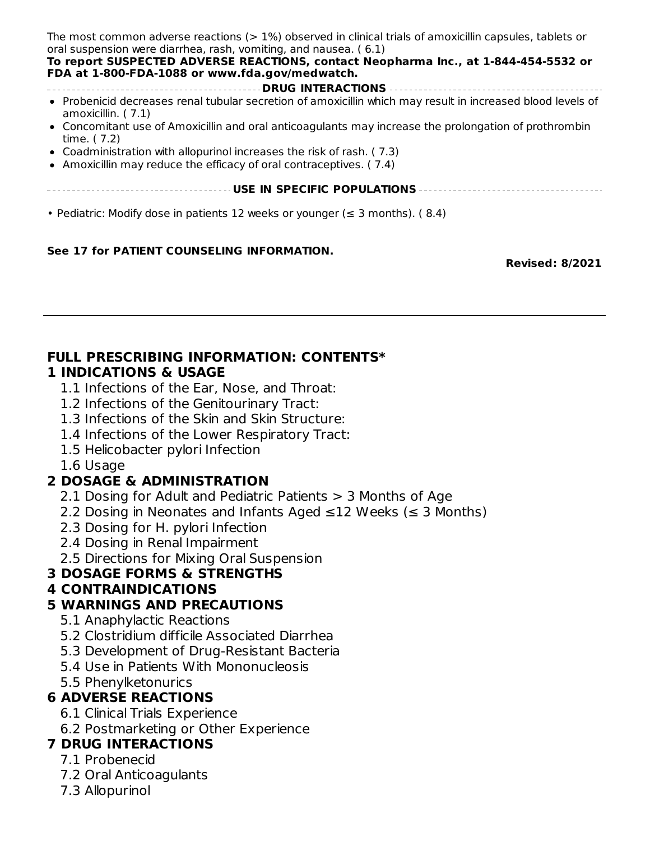| The most common adverse reactions $(>1%)$ observed in clinical trials of amoxicillin capsules, tablets or<br>oral suspension were diarrhea, rash, vomiting, and nausea. (6.1)<br>To report SUSPECTED ADVERSE REACTIONS, contact Neopharma Inc., at 1-844-454-5532 or<br>FDA at 1-800-FDA-1088 or www.fda.gov/medwatch. |
|------------------------------------------------------------------------------------------------------------------------------------------------------------------------------------------------------------------------------------------------------------------------------------------------------------------------|
|                                                                                                                                                                                                                                                                                                                        |
| • Probenicid decreases renal tubular secretion of amoxicillin which may result in increased blood levels of<br>amoxicillin. $(7.1)$                                                                                                                                                                                    |
| • Concomitant use of Amoxicillin and oral anticoagulants may increase the prolongation of prothrombin<br>time. (7.2)                                                                                                                                                                                                   |
| • Coadministration with allopurinol increases the risk of rash. (7.3)                                                                                                                                                                                                                                                  |
|                                                                                                                                                                                                                                                                                                                        |
| • Amoxicillin may reduce the efficacy of oral contraceptives. (7.4)                                                                                                                                                                                                                                                    |
|                                                                                                                                                                                                                                                                                                                        |
|                                                                                                                                                                                                                                                                                                                        |
|                                                                                                                                                                                                                                                                                                                        |
| • Pediatric: Modify dose in patients 12 weeks or younger ( $\leq$ 3 months). (8.4)                                                                                                                                                                                                                                     |
|                                                                                                                                                                                                                                                                                                                        |

#### **See 17 for PATIENT COUNSELING INFORMATION.**

**Revised: 8/2021**

## **FULL PRESCRIBING INFORMATION: CONTENTS\***

### **1 INDICATIONS & USAGE**

- 1.1 Infections of the Ear, Nose, and Throat:
- 1.2 Infections of the Genitourinary Tract:
- 1.3 Infections of the Skin and Skin Structure:
- 1.4 Infections of the Lower Respiratory Tract:
- 1.5 Helicobacter pylori Infection
- 1.6 Usage

## **2 DOSAGE & ADMINISTRATION**

- 2.1 Dosing for Adult and Pediatric Patients > 3 Months of Age
- 2.2 Dosing in Neonates and Infants Aged ≤12 Weeks (≤ 3 Months)
- 2.3 Dosing for H. pylori Infection
- 2.4 Dosing in Renal Impairment
- 2.5 Directions for Mixing Oral Suspension

## **3 DOSAGE FORMS & STRENGTHS**

## **4 CONTRAINDICATIONS**

## **5 WARNINGS AND PRECAUTIONS**

- 5.1 Anaphylactic Reactions
- 5.2 Clostridium difficile Associated Diarrhea
- 5.3 Development of Drug-Resistant Bacteria
- 5.4 Use in Patients With Mononucleosis
- 5.5 Phenylketonurics

## **6 ADVERSE REACTIONS**

- 6.1 Clinical Trials Experience
- 6.2 Postmarketing or Other Experience

## **7 DRUG INTERACTIONS**

- 7.1 Probenecid
- 7.2 Oral Anticoagulants
- 7.3 Allopurinol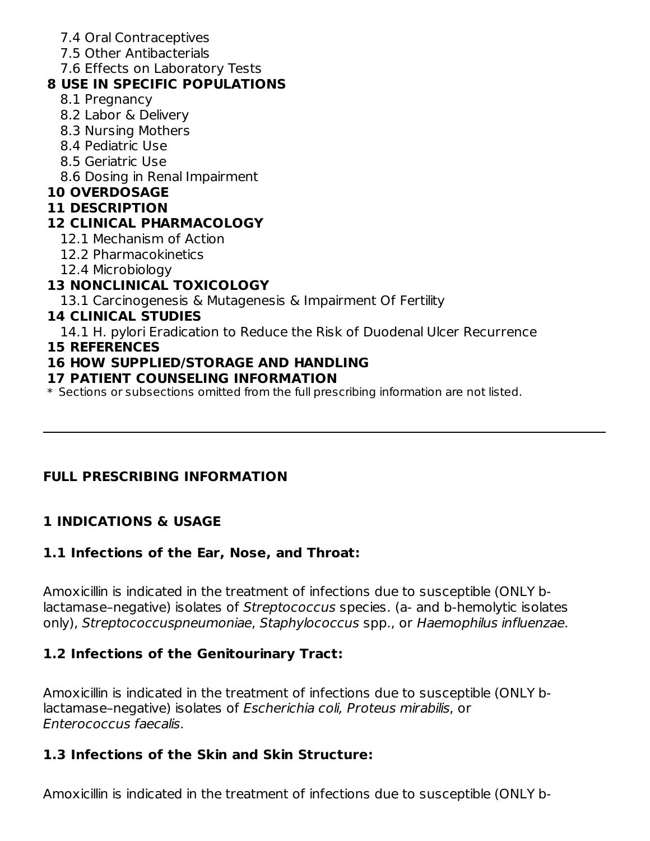- 7.4 Oral Contraceptives
- 7.5 Other Antibacterials
- 7.6 Effects on Laboratory Tests

## **8 USE IN SPECIFIC POPULATIONS**

- 8.1 Pregnancy
- 8.2 Labor & Delivery
- 8.3 Nursing Mothers
- 8.4 Pediatric Use
- 8.5 Geriatric Use
- 8.6 Dosing in Renal Impairment

## **10 OVERDOSAGE**

### **11 DESCRIPTION**

## **12 CLINICAL PHARMACOLOGY**

- 12.1 Mechanism of Action
- 12.2 Pharmacokinetics
- 12.4 Microbiology

## **13 NONCLINICAL TOXICOLOGY**

13.1 Carcinogenesis & Mutagenesis & Impairment Of Fertility

## **14 CLINICAL STUDIES**

14.1 H. pylori Eradication to Reduce the Risk of Duodenal Ulcer Recurrence

#### **15 REFERENCES**

## **16 HOW SUPPLIED/STORAGE AND HANDLING**

### **17 PATIENT COUNSELING INFORMATION**

 $\ast$  Sections or subsections omitted from the full prescribing information are not listed.

## **FULL PRESCRIBING INFORMATION**

## **1 INDICATIONS & USAGE**

## **1.1 Infections of the Ear, Nose, and Throat:**

Amoxicillin is indicated in the treatment of infections due to susceptible (ONLY blactamase-negative) isolates of Streptococcus species. (a- and b-hemolytic isolates only), Streptococcuspneumoniae, Staphylococcus spp., or Haemophilus influenzae.

## **1.2 Infections of the Genitourinary Tract:**

Amoxicillin is indicated in the treatment of infections due to susceptible (ONLY blactamase–negative) isolates of Escherichia coli, Proteus mirabilis, or Enterococcus faecalis.

## **1.3 Infections of the Skin and Skin Structure:**

Amoxicillin is indicated in the treatment of infections due to susceptible (ONLY b-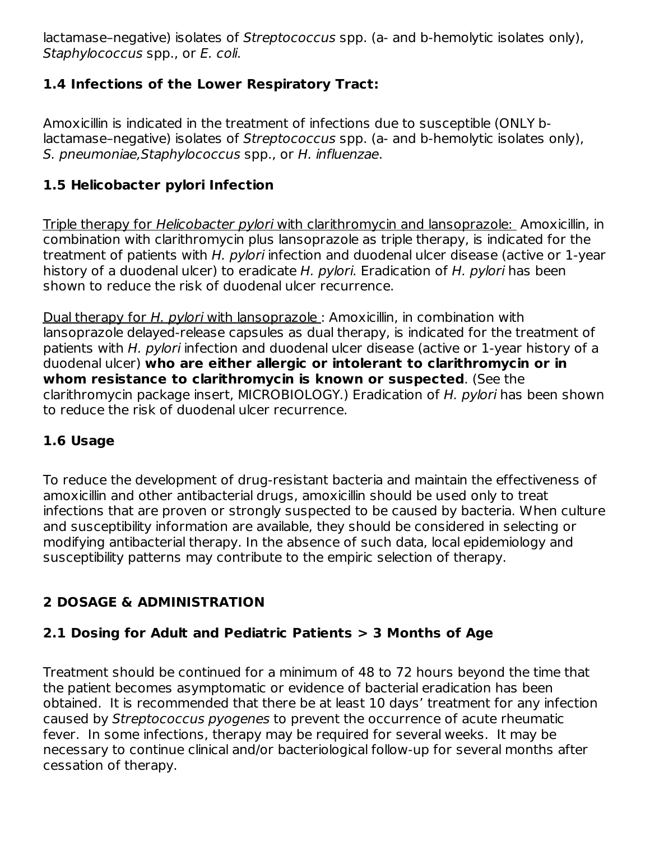lactamase–negative) isolates of Streptococcus spp. (a- and b-hemolytic isolates only), Staphylococcus spp., or E. coli.

## **1.4 Infections of the Lower Respiratory Tract:**

Amoxicillin is indicated in the treatment of infections due to susceptible (ONLY blactamase–negative) isolates of Streptococcus spp. (a‑ and b‑hemolytic isolates only), S. pneumoniae,Staphylococcus spp., or H. influenzae.

## **1.5 Helicobacter pylori Infection**

Triple therapy for Helicobacter pylori with clarithromycin and lansoprazole: Amoxicillin, in combination with clarithromycin plus lansoprazole as triple therapy, is indicated for the treatment of patients with H. pylori infection and duodenal ulcer disease (active or 1-year history of a duodenal ulcer) to eradicate H. pylori. Eradication of H. pylori has been shown to reduce the risk of duodenal ulcer recurrence.

Dual therapy for H. pylori with lansoprazole: Amoxicillin, in combination with lansoprazole delayed-release capsules as dual therapy, is indicated for the treatment of patients with H. pylori infection and duodenal ulcer disease (active or 1-year history of a duodenal ulcer) **who are either allergic or intolerant to clarithromycin or in whom resistance to clarithromycin is known or suspected**. (See the clarithromycin package insert, MICROBIOLOGY.) Eradication of H. pylori has been shown to reduce the risk of duodenal ulcer recurrence.

## **1.6 Usage**

To reduce the development of drug‑resistant bacteria and maintain the effectiveness of amoxicillin and other antibacterial drugs, amoxicillin should be used only to treat infections that are proven or strongly suspected to be caused by bacteria. When culture and susceptibility information are available, they should be considered in selecting or modifying antibacterial therapy. In the absence of such data, local epidemiology and susceptibility patterns may contribute to the empiric selection of therapy.

## **2 DOSAGE & ADMINISTRATION**

## **2.1 Dosing for Adult and Pediatric Patients > 3 Months of Age**

Treatment should be continued for a minimum of 48 to 72 hours beyond the time that the patient becomes asymptomatic or evidence of bacterial eradication has been obtained. It is recommended that there be at least 10 days' treatment for any infection caused by Streptococcus pyogenes to prevent the occurrence of acute rheumatic fever. In some infections, therapy may be required for several weeks. It may be necessary to continue clinical and/or bacteriological follow-up for several months after cessation of therapy.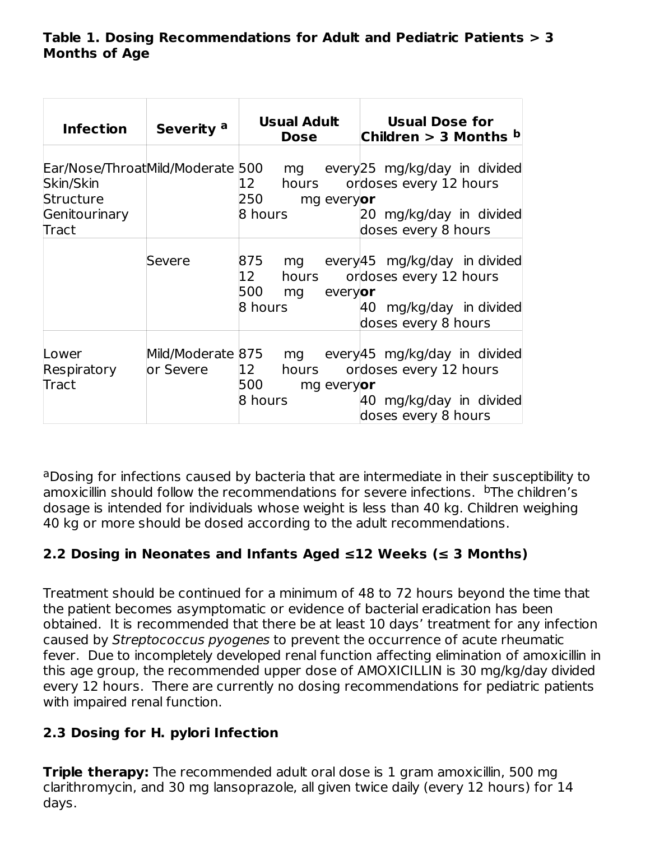### **Table 1. Dosing Recommendations for Adult and Pediatric Patients > 3 Months of Age**

| <b>Infection</b>                                 | Severity a | Usual Adult<br><b>Dose</b>           | <b>Usual Dose for</b><br>Children > 3 Months <sup>b</sup>                                                                                           |
|--------------------------------------------------|------------|--------------------------------------|-----------------------------------------------------------------------------------------------------------------------------------------------------|
| Skin/Skin<br>Structure<br>Genitourinary<br>Tract |            | 12<br>250<br>mg everyor<br>8 hours   | Ear/Nose/ThroatMild/Moderate 500 mg every 25 mg/kg/day in divided<br>hours ordoses every 12 hours<br>20 mg/kg/day in divided<br>doses every 8 hours |
|                                                  | Severe     | 12<br>500 mg<br>everyor<br>8 hours   | 875 mg every45 mg/kg/day in divided<br>hours ordoses every 12 hours<br>40 mg/kg/day in divided<br>doses every 8 hours                               |
| Lower<br>Respiratory<br>Tract                    | or Severe  | 12<br>500 —<br>mg everyor<br>8 hours | Mild/Moderate 875 mg every 45 mg/kg/day in divided<br>hours ordoses every 12 hours<br>40 mg/kg/day in divided<br>doses every 8 hours                |

aDosing for infections caused by bacteria that are intermediate in their susceptibility to amoxicillin should follow the recommendations for severe infections. <sup>b</sup>The children's dosage is intended for individuals whose weight is less than 40 kg. Children weighing 40 kg or more should be dosed according to the adult recommendations.

## **2.2 Dosing in Neonates and Infants Aged ≤12 Weeks (≤ 3 Months)**

Treatment should be continued for a minimum of 48 to 72 hours beyond the time that the patient becomes asymptomatic or evidence of bacterial eradication has been obtained. It is recommended that there be at least 10 days' treatment for any infection caused by Streptococcus pyogenes to prevent the occurrence of acute rheumatic fever. Due to incompletely developed renal function affecting elimination of amoxicillin in this age group, the recommended upper dose of AMOXICILLIN is 30 mg/kg/day divided every 12 hours. There are currently no dosing recommendations for pediatric patients with impaired renal function.

## **2.3 Dosing for H. pylori Infection**

**Triple therapy:** The recommended adult oral dose is 1 gram amoxicillin, 500 mg clarithromycin, and 30 mg lansoprazole, all given twice daily (every 12 hours) for 14 days.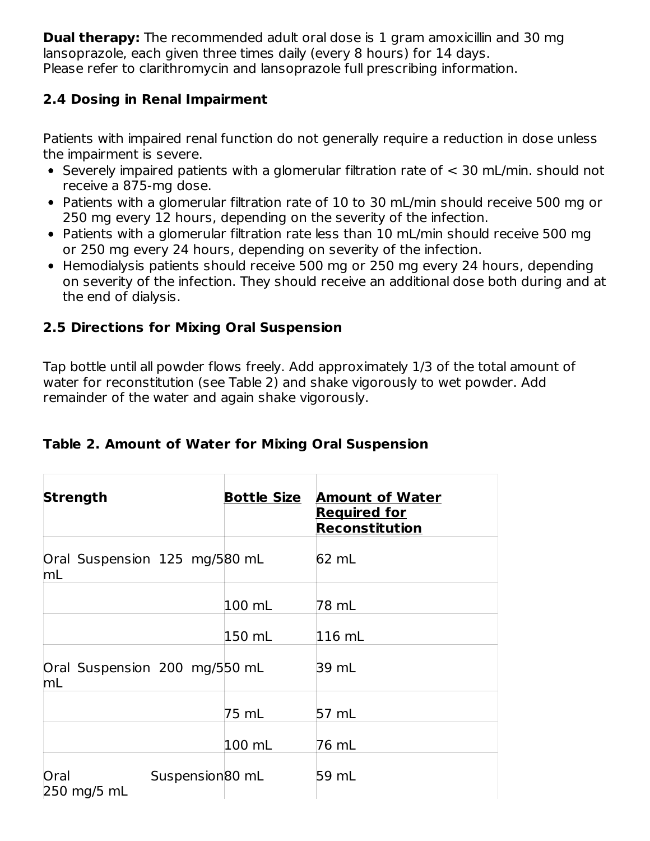**Dual therapy:** The recommended adult oral dose is 1 gram amoxicillin and 30 mg lansoprazole, each given three times daily (every 8 hours) for 14 days. Please refer to clarithromycin and lansoprazole full prescribing information.

## **2.4 Dosing in Renal Impairment**

Patients with impaired renal function do not generally require a reduction in dose unless the impairment is severe.

- Severely impaired patients with a glomerular filtration rate of < 30 mL/min. should not receive a 875‑mg dose.
- Patients with a glomerular filtration rate of 10 to 30 mL/min should receive 500 mg or 250 mg every 12 hours, depending on the severity of the infection.
- Patients with a glomerular filtration rate less than 10 mL/min should receive 500 mg or 250 mg every 24 hours, depending on severity of the infection.
- Hemodialysis patients should receive 500 mg or 250 mg every 24 hours, depending on severity of the infection. They should receive an additional dose both during and at the end of dialysis.

## **2.5 Directions for Mixing Oral Suspension**

Tap bottle until all powder flows freely. Add approximately 1/3 of the total amount of water for reconstitution (see Table 2) and shake vigorously to wet powder. Add remainder of the water and again shake vigorously.

## **Table 2. Amount of Water for Mixing Oral Suspension**

| Strength                               | <b>Bottle Size</b> | <b>Amount of Water</b><br><b>Required for</b><br><b>Reconstitution</b> |
|----------------------------------------|--------------------|------------------------------------------------------------------------|
| Oral Suspension 125 mg/580 mL<br>mL    |                    | 62 mL                                                                  |
|                                        | $100$ mL           | 78 mL                                                                  |
|                                        | 150 mL             | $ 116 \text{ mL} $                                                     |
| Oral Suspension 200 mg/550 mL<br>mL    |                    | 39 mL                                                                  |
|                                        | 75 mL              | 57 mL                                                                  |
|                                        | $100$ mL           | 76 mL                                                                  |
| Suspension80 mL<br>Oral<br>250 mg/5 mL |                    | 59 mL                                                                  |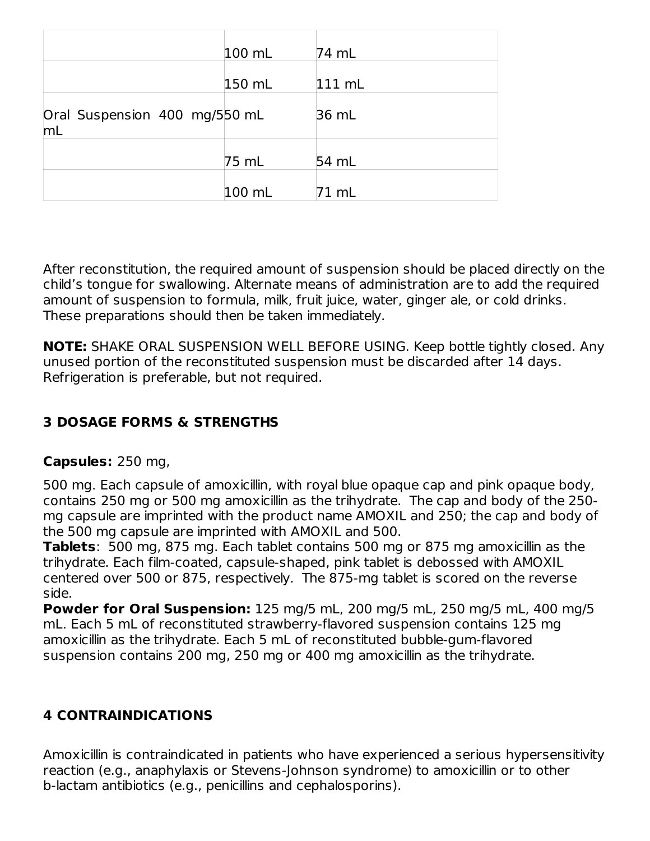|                                     | 100 mL | 74 mL    |
|-------------------------------------|--------|----------|
|                                     | 150 mL | $111$ mL |
| Oral Suspension 400 mg/550 mL<br>mL |        | 36 mL    |
|                                     | 75 mL  | 54 mL    |
|                                     | 100 mL | 71 mL    |

After reconstitution, the required amount of suspension should be placed directly on the child's tongue for swallowing. Alternate means of administration are to add the required amount of suspension to formula, milk, fruit juice, water, ginger ale, or cold drinks. These preparations should then be taken immediately.

**NOTE:** SHAKE ORAL SUSPENSION WELL BEFORE USING. Keep bottle tightly closed. Any unused portion of the reconstituted suspension must be discarded after 14 days. Refrigeration is preferable, but not required.

## **3 DOSAGE FORMS & STRENGTHS**

### **Capsules:** 250 mg,

500 mg. Each capsule of amoxicillin, with royal blue opaque cap and pink opaque body, contains 250 mg or 500 mg amoxicillin as the trihydrate. The cap and body of the 250 mg capsule are imprinted with the product name AMOXIL and 250; the cap and body of the 500 mg capsule are imprinted with AMOXIL and 500.

**Tablets**: 500 mg, 875 mg. Each tablet contains 500 mg or 875 mg amoxicillin as the trihydrate. Each film-coated, capsule-shaped, pink tablet is debossed with AMOXIL centered over 500 or 875, respectively. The 875-mg tablet is scored on the reverse side.

**Powder for Oral Suspension:** 125 mg/5 mL, 200 mg/5 mL, 250 mg/5 mL, 400 mg/5 mL. Each 5 mL of reconstituted strawberry-flavored suspension contains 125 mg amoxicillin as the trihydrate. Each 5 mL of reconstituted bubble-gum-flavored suspension contains 200 mg, 250 mg or 400 mg amoxicillin as the trihydrate.

## **4 CONTRAINDICATIONS**

Amoxicillin is contraindicated in patients who have experienced a serious hypersensitivity reaction (e.g., anaphylaxis or Stevens-Johnson syndrome) to amoxicillin or to other b‑lactam antibiotics (e.g., penicillins and cephalosporins).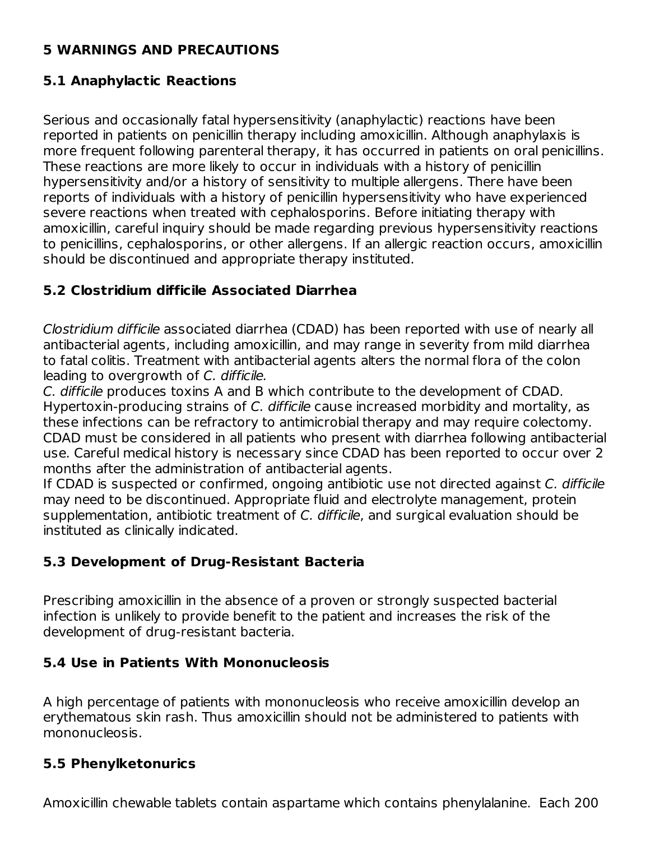### **5 WARNINGS AND PRECAUTIONS**

### **5.1 Anaphylactic Reactions**

Serious and occasionally fatal hypersensitivity (anaphylactic) reactions have been reported in patients on penicillin therapy including amoxicillin. Although anaphylaxis is more frequent following parenteral therapy, it has occurred in patients on oral penicillins. These reactions are more likely to occur in individuals with a history of penicillin hypersensitivity and/or a history of sensitivity to multiple allergens. There have been reports of individuals with a history of penicillin hypersensitivity who have experienced severe reactions when treated with cephalosporins. Before initiating therapy with amoxicillin, careful inquiry should be made regarding previous hypersensitivity reactions to penicillins, cephalosporins, or other allergens. If an allergic reaction occurs, amoxicillin should be discontinued and appropriate therapy instituted.

### **5.2 Clostridium difficile Associated Diarrhea**

Clostridium difficile associated diarrhea (CDAD) has been reported with use of nearly all antibacterial agents, including amoxicillin, and may range in severity from mild diarrhea to fatal colitis. Treatment with antibacterial agents alters the normal flora of the colon leading to overgrowth of C. difficile.

C. difficile produces toxins A and B which contribute to the development of CDAD. Hypertoxin-producing strains of C. difficile cause increased morbidity and mortality, as these infections can be refractory to antimicrobial therapy and may require colectomy. CDAD must be considered in all patients who present with diarrhea following antibacterial use. Careful medical history is necessary since CDAD has been reported to occur over 2 months after the administration of antibacterial agents.

If CDAD is suspected or confirmed, ongoing antibiotic use not directed against C. difficile may need to be discontinued. Appropriate fluid and electrolyte management, protein supplementation, antibiotic treatment of C. difficile, and surgical evaluation should be instituted as clinically indicated.

### **5.3 Development of Drug-Resistant Bacteria**

Prescribing amoxicillin in the absence of a proven or strongly suspected bacterial infection is unlikely to provide benefit to the patient and increases the risk of the development of drug-resistant bacteria.

### **5.4 Use in Patients With Mononucleosis**

A high percentage of patients with mononucleosis who receive amoxicillin develop an erythematous skin rash. Thus amoxicillin should not be administered to patients with mononucleosis.

### **5.5 Phenylketonurics**

Amoxicillin chewable tablets contain aspartame which contains phenylalanine. Each 200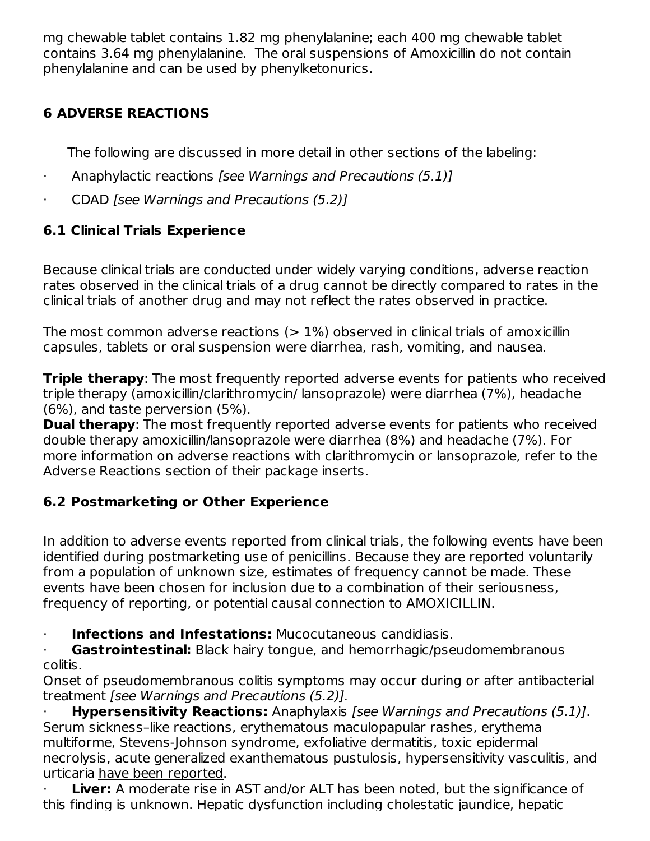mg chewable tablet contains 1.82 mg phenylalanine; each 400 mg chewable tablet contains 3.64 mg phenylalanine. The oral suspensions of Amoxicillin do not contain phenylalanine and can be used by phenylketonurics.

## **6 ADVERSE REACTIONS**

The following are discussed in more detail in other sections of the labeling:

- · Anaphylactic reactions [see Warnings and Precautions (5.1)]
- CDAD [see Warnings and Precautions (5.2)]

## **6.1 Clinical Trials Experience**

Because clinical trials are conducted under widely varying conditions, adverse reaction rates observed in the clinical trials of a drug cannot be directly compared to rates in the clinical trials of another drug and may not reflect the rates observed in practice.

The most common adverse reactions  $(>1\%)$  observed in clinical trials of amoxicillin capsules, tablets or oral suspension were diarrhea, rash, vomiting, and nausea.

**Triple therapy**: The most frequently reported adverse events for patients who received triple therapy (amoxicillin/clarithromycin/ lansoprazole) were diarrhea (7%), headache (6%), and taste perversion (5%).

**Dual therapy**: The most frequently reported adverse events for patients who received double therapy amoxicillin/lansoprazole were diarrhea (8%) and headache (7%). For more information on adverse reactions with clarithromycin or lansoprazole, refer to the Adverse Reactions section of their package inserts.

## **6.2 Postmarketing or Other Experience**

In addition to adverse events reported from clinical trials, the following events have been identified during postmarketing use of penicillins. Because they are reported voluntarily from a population of unknown size, estimates of frequency cannot be made. These events have been chosen for inclusion due to a combination of their seriousness, frequency of reporting, or potential causal connection to AMOXICILLIN.

· **Infections and Infestations:** Mucocutaneous candidiasis.

**Gastrointestinal:** Black hairy tongue, and hemorrhagic/pseudomembranous colitis.

Onset of pseudomembranous colitis symptoms may occur during or after antibacterial treatment [see Warnings and Precautions (5.2)].

· **Hypersensitivity Reactions:** Anaphylaxis [see Warnings and Precautions (5.1)]. Serum sickness–like reactions, erythematous maculopapular rashes, erythema multiforme, Stevens‑Johnson syndrome, exfoliative dermatitis, toxic epidermal necrolysis, acute generalized exanthematous pustulosis, hypersensitivity vasculitis, and urticaria have been reported.

**Liver:** A moderate rise in AST and/or ALT has been noted, but the significance of this finding is unknown. Hepatic dysfunction including cholestatic jaundice, hepatic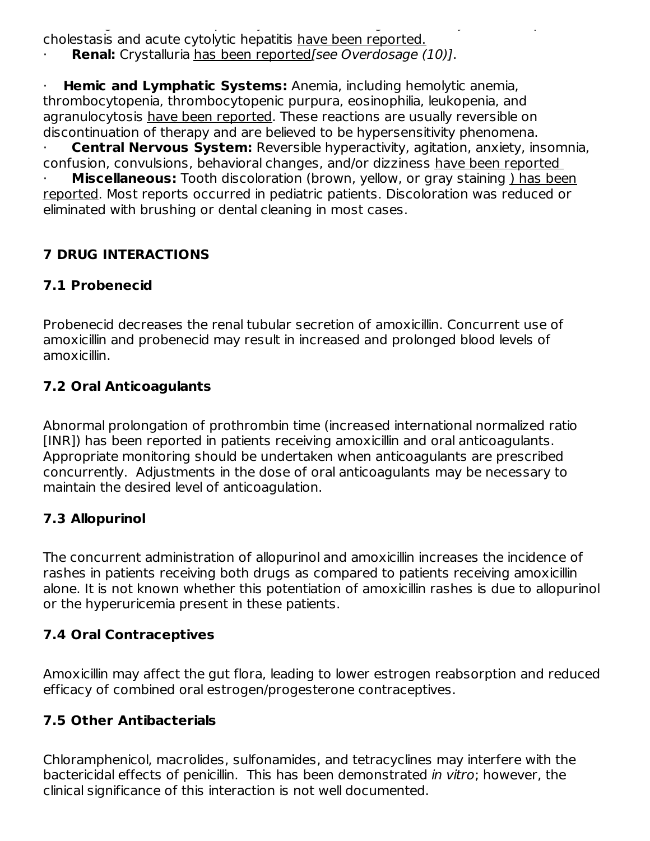this finding is unknown. Hepatic dysfunction including cholestatic jaundice, hepatic cholestasis and acute cytolytic hepatitis have been reported.

**Renal:** Crystalluria has been reported[see Overdosage (10)].

· **Hemic and Lymphatic Systems:** Anemia, including hemolytic anemia, thrombocytopenia, thrombocytopenic purpura, eosinophilia, leukopenia, and agranulocytosis have been reported. These reactions are usually reversible on discontinuation of therapy and are believed to be hypersensitivity phenomena.

· **Central Nervous System:** Reversible hyperactivity, agitation, anxiety, insomnia, confusion, convulsions, behavioral changes, and/or dizziness have been reported

**Miscellaneous:** Tooth discoloration (brown, yellow, or gray staining) has been reported. Most reports occurred in pediatric patients. Discoloration was reduced or eliminated with brushing or dental cleaning in most cases.

## **7 DRUG INTERACTIONS**

## **7.1 Probenecid**

Probenecid decreases the renal tubular secretion of amoxicillin. Concurrent use of amoxicillin and probenecid may result in increased and prolonged blood levels of amoxicillin.

## **7.2 Oral Anticoagulants**

Abnormal prolongation of prothrombin time (increased international normalized ratio [INR]) has been reported in patients receiving amoxicillin and oral anticoagulants. Appropriate monitoring should be undertaken when anticoagulants are prescribed concurrently. Adjustments in the dose of oral anticoagulants may be necessary to maintain the desired level of anticoagulation.

## **7.3 Allopurinol**

The concurrent administration of allopurinol and amoxicillin increases the incidence of rashes in patients receiving both drugs as compared to patients receiving amoxicillin alone. It is not known whether this potentiation of amoxicillin rashes is due to allopurinol or the hyperuricemia present in these patients.

## **7.4 Oral Contraceptives**

Amoxicillin may affect the gut flora, leading to lower estrogen reabsorption and reduced efficacy of combined oral estrogen/progesterone contraceptives.

## **7.5 Other Antibacterials**

Chloramphenicol, macrolides, sulfonamides, and tetracyclines may interfere with the bactericidal effects of penicillin. This has been demonstrated in vitro; however, the clinical significance of this interaction is not well documented.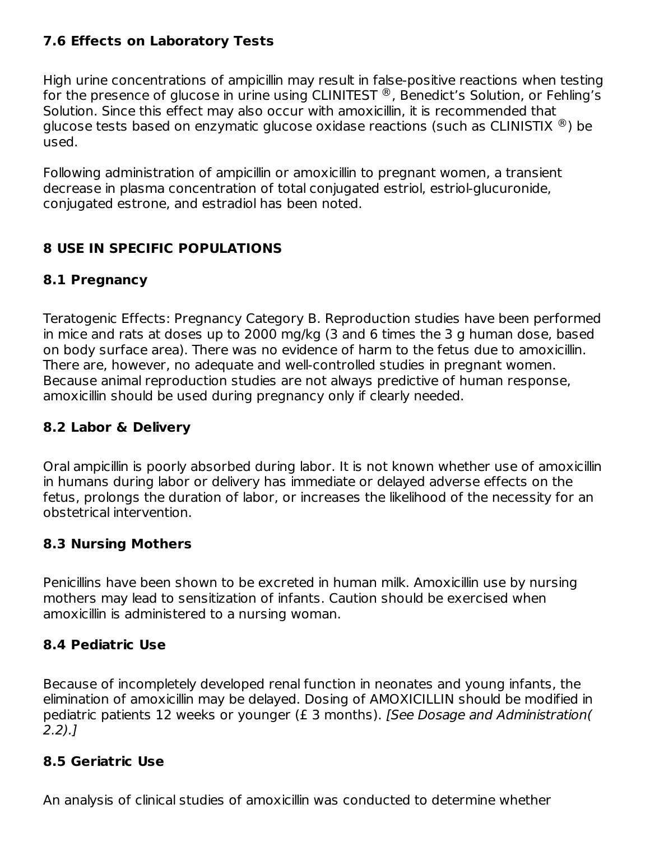### **7.6 Effects on Laboratory Tests**

High urine concentrations of ampicillin may result in false-positive reactions when testing for the presence of glucose in urine using CLINITEST  $^\circledR$ , Benedict's Solution, or Fehling's Solution. Since this effect may also occur with amoxicillin, it is recommended that glucose tests based on enzymatic glucose oxidase reactions (such as CLINISTIX  $^\circledR$ ) be used.

Following administration of ampicillin or amoxicillin to pregnant women, a transient decrease in plasma concentration of total conjugated estriol, estriol-glucuronide, conjugated estrone, and estradiol has been noted.

## **8 USE IN SPECIFIC POPULATIONS**

### **8.1 Pregnancy**

Teratogenic Effects: Pregnancy Category B. Reproduction studies have been performed in mice and rats at doses up to 2000 mg/kg (3 and 6 times the 3 g human dose, based on body surface area). There was no evidence of harm to the fetus due to amoxicillin. There are, however, no adequate and well‑controlled studies in pregnant women. Because animal reproduction studies are not always predictive of human response, amoxicillin should be used during pregnancy only if clearly needed.

### **8.2 Labor & Delivery**

Oral ampicillin is poorly absorbed during labor. It is not known whether use of amoxicillin in humans during labor or delivery has immediate or delayed adverse effects on the fetus, prolongs the duration of labor, or increases the likelihood of the necessity for an obstetrical intervention.

### **8.3 Nursing Mothers**

Penicillins have been shown to be excreted in human milk. Amoxicillin use by nursing mothers may lead to sensitization of infants. Caution should be exercised when amoxicillin is administered to a nursing woman.

### **8.4 Pediatric Use**

Because of incompletely developed renal function in neonates and young infants, the elimination of amoxicillin may be delayed. Dosing of AMOXICILLIN should be modified in pediatric patients 12 weeks or younger (£ 3 months). [See Dosage and Administration( 2.2).]

### **8.5 Geriatric Use**

An analysis of clinical studies of amoxicillin was conducted to determine whether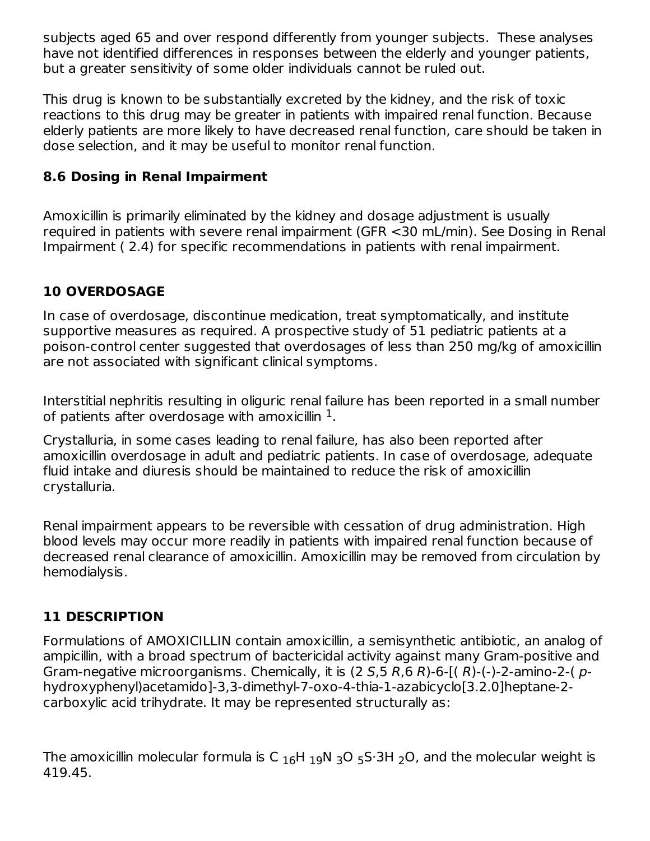subjects aged 65 and over respond differently from younger subjects. These analyses have not identified differences in responses between the elderly and younger patients, but a greater sensitivity of some older individuals cannot be ruled out.

This drug is known to be substantially excreted by the kidney, and the risk of toxic reactions to this drug may be greater in patients with impaired renal function. Because elderly patients are more likely to have decreased renal function, care should be taken in dose selection, and it may be useful to monitor renal function.

## **8.6 Dosing in Renal Impairment**

Amoxicillin is primarily eliminated by the kidney and dosage adjustment is usually required in patients with severe renal impairment (GFR <30 mL/min). See Dosing in Renal Impairment ( 2.4) for specific recommendations in patients with renal impairment.

## **10 OVERDOSAGE**

In case of overdosage, discontinue medication, treat symptomatically, and institute supportive measures as required. A prospective study of 51 pediatric patients at a poison-control center suggested that overdosages of less than 250 mg/kg of amoxicillin are not associated with significant clinical symptoms.

Interstitial nephritis resulting in oliguric renal failure has been reported in a small number of patients after overdosage with amoxicillin  $^1$ .

Crystalluria, in some cases leading to renal failure, has also been reported after amoxicillin overdosage in adult and pediatric patients. In case of overdosage, adequate fluid intake and diuresis should be maintained to reduce the risk of amoxicillin crystalluria.

Renal impairment appears to be reversible with cessation of drug administration. High blood levels may occur more readily in patients with impaired renal function because of decreased renal clearance of amoxicillin. Amoxicillin may be removed from circulation by hemodialysis.

## **11 DESCRIPTION**

Formulations of AMOXICILLIN contain amoxicillin, a semisynthetic antibiotic, an analog of ampicillin, with a broad spectrum of bactericidal activity against many Gram‑positive and Gram-negative microorganisms. Chemically, it is  $(2 S, 5 R, 6 R)$ -6- $( R)$ - $( - )$ -2-amino-2- $( p - )$ hydroxyphenyl)acetamido]-3,3-dimethyl-7-oxo-4-thia-1-azabicyclo[3.2.0]heptane-2 carboxylic acid trihydrate. It may be represented structurally as:

The amoxicillin molecular formula is C  $_{16}$ H  $_{19}$ N  $_{3}$ O  $_{5}$ S·3H  $_{2}$ O, and the molecular weight is 419.45.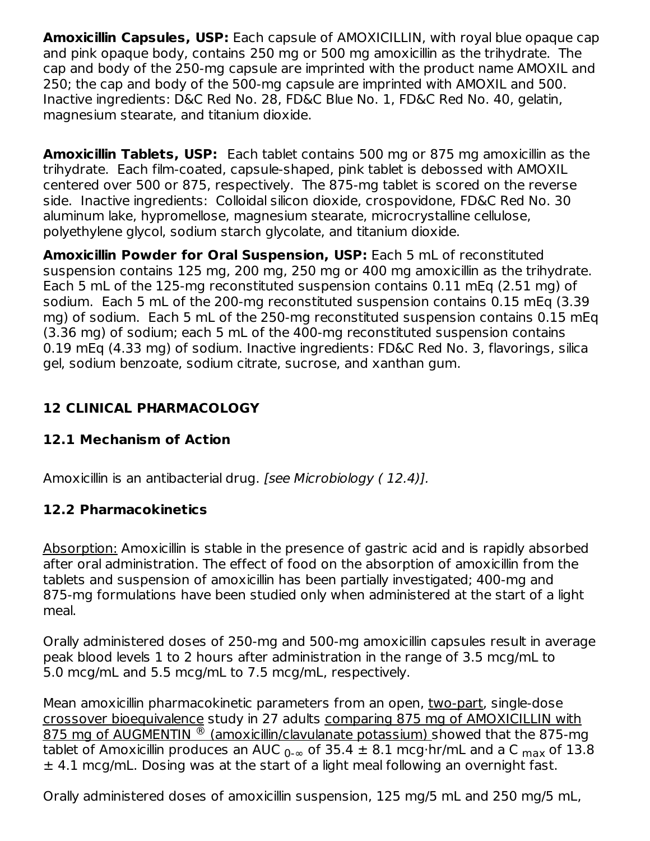**Amoxicillin Capsules, USP:** Each capsule of AMOXICILLIN, with royal blue opaque cap and pink opaque body, contains 250 mg or 500 mg amoxicillin as the trihydrate. The cap and body of the 250-mg capsule are imprinted with the product name AMOXIL and 250; the cap and body of the 500‑mg capsule are imprinted with AMOXIL and 500. Inactive ingredients: D&C Red No. 28, FD&C Blue No. 1, FD&C Red No. 40, gelatin, magnesium stearate, and titanium dioxide.

**Amoxicillin Tablets, USP:** Each tablet contains 500 mg or 875 mg amoxicillin as the trihydrate. Each film-coated, capsule-shaped, pink tablet is debossed with AMOXIL centered over 500 or 875, respectively. The 875-mg tablet is scored on the reverse side. Inactive ingredients: Colloidal silicon dioxide, crospovidone, FD&C Red No. 30 aluminum lake, hypromellose, magnesium stearate, microcrystalline cellulose, polyethylene glycol, sodium starch glycolate, and titanium dioxide.

**Amoxicillin Powder for Oral Suspension, USP:** Each 5 mL of reconstituted suspension contains 125 mg, 200 mg, 250 mg or 400 mg amoxicillin as the trihydrate. Each 5 mL of the 125-mg reconstituted suspension contains 0.11 mEq (2.51 mg) of sodium. Each 5 mL of the 200-mg reconstituted suspension contains 0.15 mEq (3.39 mg) of sodium. Each 5 mL of the 250‑mg reconstituted suspension contains 0.15 mEq (3.36 mg) of sodium; each 5 mL of the 400‑mg reconstituted suspension contains 0.19 mEq (4.33 mg) of sodium. Inactive ingredients: FD&C Red No. 3, flavorings, silica gel, sodium benzoate, sodium citrate, sucrose, and xanthan gum.

## **12 CLINICAL PHARMACOLOGY**

## **12.1 Mechanism of Action**

Amoxicillin is an antibacterial drug. [see Microbiology ( 12.4)].

## **12.2 Pharmacokinetics**

Absorption: Amoxicillin is stable in the presence of gastric acid and is rapidly absorbed after oral administration. The effect of food on the absorption of amoxicillin from the tablets and suspension of amoxicillin has been partially investigated; 400‑mg and 875‑mg formulations have been studied only when administered at the start of a light meal.

Orally administered doses of 250‑mg and 500‑mg amoxicillin capsules result in average peak blood levels 1 to 2 hours after administration in the range of 3.5 mcg/mL to 5.0 mcg/mL and 5.5 mcg/mL to 7.5 mcg/mL, respectively.

Mean amoxicillin pharmacokinetic parameters from an open, two-part, single-dose crossover bioequivalence study in 27 adults comparing 875 mg of AMOXICILLIN with 875 mg of AUGMENTIN ® (amoxicillin/clavulanate potassium) showed that the 875-mg tablet of Amoxicillin produces an AUC  $_{0\text{-}\infty}$  of 35.4  $\pm$  8.1 mcg $\cdot$ hr/mL and a C  $_{\sf max}$  of 13.8 ± 4.1 mcg/mL. Dosing was at the start of a light meal following an overnight fast.

Orally administered doses of amoxicillin suspension, 125 mg/5 mL and 250 mg/5 mL,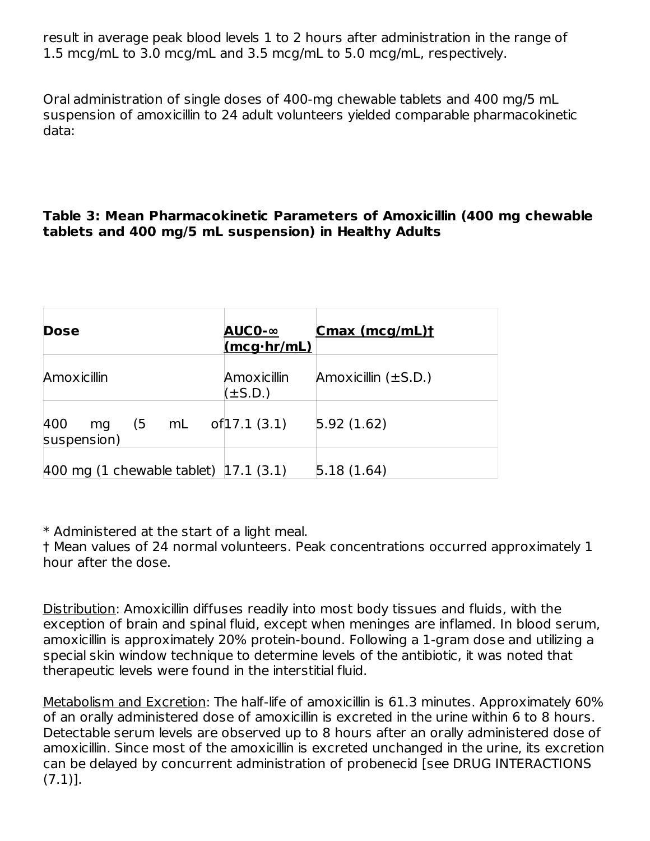result in average peak blood levels 1 to 2 hours after administration in the range of 1.5 mcg/mL to 3.0 mcg/mL and 3.5 mcg/mL to 5.0 mcg/mL, respectively.

Oral administration of single doses of 400‑mg chewable tablets and 400 mg/5 mL suspension of amoxicillin to 24 adult volunteers yielded comparable pharmacokinetic data:

#### **Table 3: Mean Pharmacokinetic Parameters of Amoxicillin (400 mg chewable tablets and 400 mg/5 mL suspension) in Healthy Adults**

| <b>Dose</b>                                                       | AUC0-∞<br>$(mcq\cdot hr/mL)$ | Cmax (mcg/mL)t           |
|-------------------------------------------------------------------|------------------------------|--------------------------|
| Amoxicillin                                                       | Amoxicillin<br>$(\pm S.D.)$  | Amoxicillin $(\pm S.D.)$ |
| 400<br>$(5 \quad mL \quad of 17.1 \, (3.1))$<br>mg<br>suspension) |                              | 5.92(1.62)               |
| 400 mg $(1$ chewable tablet) $ 17.1 (3.1) $                       |                              | 5.18(1.64)               |

\* Administered at the start of a light meal.

† Mean values of 24 normal volunteers. Peak concentrations occurred approximately 1 hour after the dose.

Distribution: Amoxicillin diffuses readily into most body tissues and fluids, with the exception of brain and spinal fluid, except when meninges are inflamed. In blood serum, amoxicillin is approximately 20% protein‑bound. Following a 1‑gram dose and utilizing a special skin window technique to determine levels of the antibiotic, it was noted that therapeutic levels were found in the interstitial fluid.

Metabolism and Excretion: The half-life of amoxicillin is 61.3 minutes. Approximately 60% of an orally administered dose of amoxicillin is excreted in the urine within 6 to 8 hours. Detectable serum levels are observed up to 8 hours after an orally administered dose of amoxicillin. Since most of the amoxicillin is excreted unchanged in the urine, its excretion can be delayed by concurrent administration of probenecid [see DRUG INTERACTIONS (7.1)].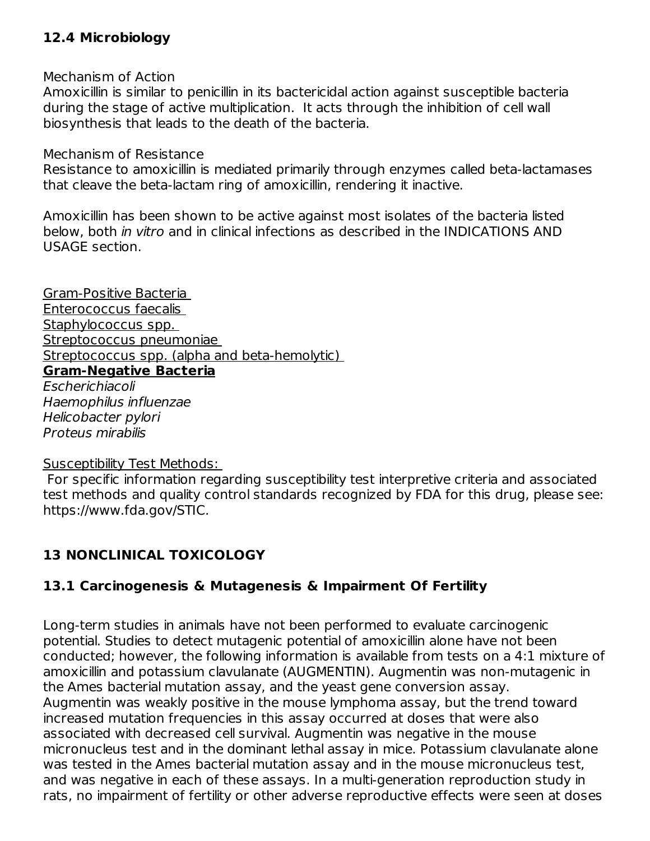### **12.4 Microbiology**

Mechanism of Action

Amoxicillin is similar to penicillin in its bactericidal action against susceptible bacteria during the stage of active multiplication. It acts through the inhibition of cell wall biosynthesis that leads to the death of the bacteria.

Mechanism of Resistance

Resistance to amoxicillin is mediated primarily through enzymes called beta-lactamases that cleave the beta-lactam ring of amoxicillin, rendering it inactive.

Amoxicillin has been shown to be active against most isolates of the bacteria listed below, both in vitro and in clinical infections as described in the INDICATIONS AND USAGE section.

Gram-Positive Bacteria Enterococcus faecalis Staphylococcus spp. Streptococcus pneumoniae Streptococcus spp. (alpha and beta-hemolytic) **Gram-Negative Bacteria** Escherichiacoli

Haemophilus influenzae Helicobacter pylori Proteus mirabilis

#### Susceptibility Test Methods:

For specific information regarding susceptibility test interpretive criteria and associated test methods and quality control standards recognized by FDA for this drug, please see: https://www.fda.gov/STIC.

## **13 NONCLINICAL TOXICOLOGY**

## **13.1 Carcinogenesis & Mutagenesis & Impairment Of Fertility**

Long-term studies in animals have not been performed to evaluate carcinogenic potential. Studies to detect mutagenic potential of amoxicillin alone have not been conducted; however, the following information is available from tests on a 4:1 mixture of amoxicillin and potassium clavulanate (AUGMENTIN). Augmentin was non-mutagenic in the Ames bacterial mutation assay, and the yeast gene conversion assay. Augmentin was weakly positive in the mouse lymphoma assay, but the trend toward increased mutation frequencies in this assay occurred at doses that were also associated with decreased cell survival. Augmentin was negative in the mouse micronucleus test and in the dominant lethal assay in mice. Potassium clavulanate alone was tested in the Ames bacterial mutation assay and in the mouse micronucleus test, and was negative in each of these assays. In a multi‑generation reproduction study in rats, no impairment of fertility or other adverse reproductive effects were seen at doses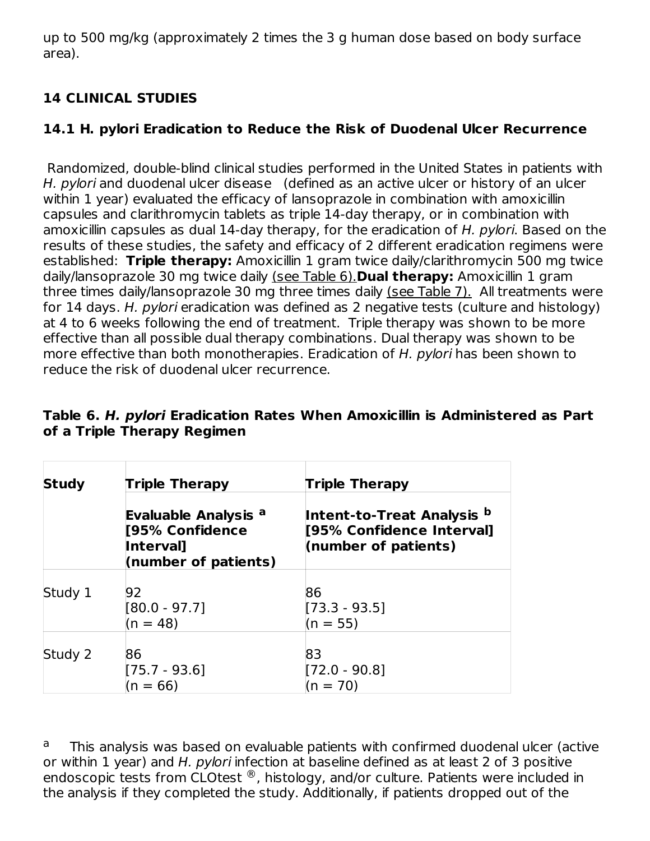up to 500 mg/kg (approximately 2 times the 3 g human dose based on body surface area).

## **14 CLINICAL STUDIES**

## **14.1 H. pylori Eradication to Reduce the Risk of Duodenal Ulcer Recurrence**

Randomized, double-blind clinical studies performed in the United States in patients with H. pylori and duodenal ulcer disease (defined as an active ulcer or history of an ulcer within 1 year) evaluated the efficacy of lansoprazole in combination with amoxicillin capsules and clarithromycin tablets as triple 14‑day therapy, or in combination with amoxicillin capsules as dual 14-day therapy, for the eradication of H. pylori. Based on the results of these studies, the safety and efficacy of 2 different eradication regimens were established: **Triple therapy:** Amoxicillin 1 gram twice daily/clarithromycin 500 mg twice daily/lansoprazole 30 mg twice daily (see Table 6).**Dual therapy:** Amoxicillin 1 gram three times daily/lansoprazole 30 mg three times daily (see Table 7). All treatments were for 14 days. H. pylori eradication was defined as 2 negative tests (culture and histology) at 4 to 6 weeks following the end of treatment. Triple therapy was shown to be more effective than all possible dual therapy combinations. Dual therapy was shown to be more effective than both monotherapies. Eradication of H. pylori has been shown to reduce the risk of duodenal ulcer recurrence.

| <b>Study</b> | <b>Triple Therapy</b>                                                                          | <b>Triple Therapy</b>                                                           |  |  |  |
|--------------|------------------------------------------------------------------------------------------------|---------------------------------------------------------------------------------|--|--|--|
|              | <b>Evaluable Analysis <sup>a</sup></b><br>[95% Confidence<br>Interval]<br>(number of patients) | Intent-to-Treat Analysis b<br>[95% Confidence Interval]<br>(number of patients) |  |  |  |
| Study 1      | 92<br>$[80.0 - 97.7]$<br>$(n = 48)$                                                            | 86<br>$[73.3 - 93.5]$<br>$(n = 55)$                                             |  |  |  |
| Study 2      | 86<br>$[75.7 - 93.6]$<br>$(n = 66)$                                                            | 83<br>$[72.0 - 90.8]$<br>$(n = 70)$                                             |  |  |  |

### **Table 6. H. pylori Eradication Rates When Amoxicillin is Administered as Part of a Triple Therapy Regimen**

This analysis was based on evaluable patients with confirmed duodenal ulcer (active or within 1 year) and H, *pylori* infection at baseline defined as at least 2 of 3 positive endoscopic tests from CLOtest  $^{\circledR}$ , histology, and/or culture. Patients were included in the analysis if they completed the study. Additionally, if patients dropped out of the a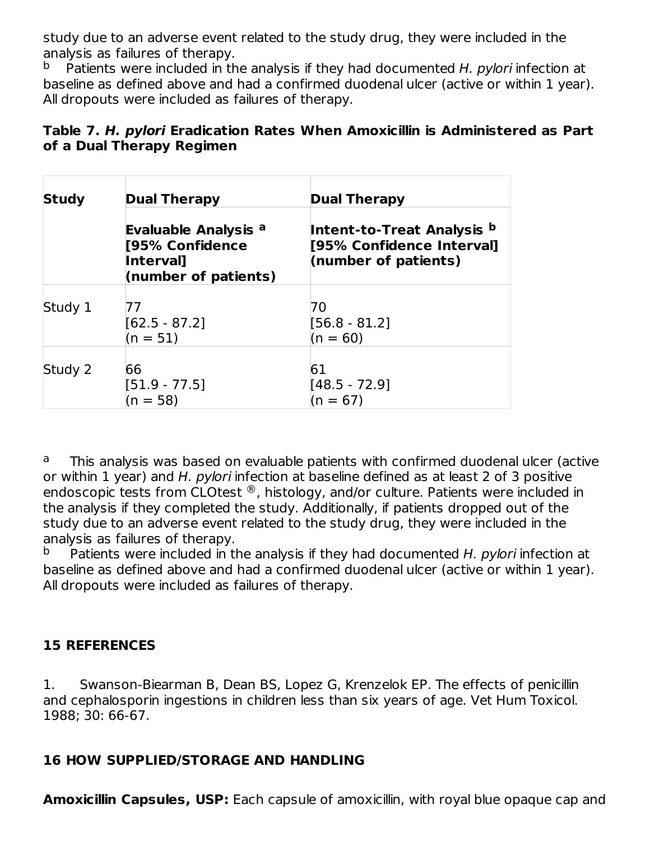study due to an adverse event related to the study drug, they were included in the analysis as failures of therapy.

Patients were included in the analysis if they had documented H. pylori infection at baseline as defined above and had a confirmed duodenal ulcer (active or within 1 year). All dropouts were included as failures of therapy. b

### **Table 7. H. pylori Eradication Rates When Amoxicillin is Administered as Part of a Dual Therapy Regimen**

| <b>Study</b> | <b>Dual Therapy</b>                                                                       | <b>Dual Therapy</b>                                                             |  |  |  |
|--------------|-------------------------------------------------------------------------------------------|---------------------------------------------------------------------------------|--|--|--|
|              | <b>Evaluable Analysis a</b><br>[95% Confidence<br><b>Interval</b><br>(number of patients) | Intent-to-Treat Analysis b<br>[95% Confidence Interval]<br>(number of patients) |  |  |  |
| Study 1      | 77<br>$[62.5 - 87.2]$<br>$(n = 51)$                                                       | 70<br>$[56.8 - 81.2]$<br>$(n = 60)$                                             |  |  |  |
| Study 2      | 66<br>$[51.9 - 77.5]$<br>$(n = 58)$                                                       | 61<br>$[48.5 - 72.9]$<br>$(n = 67)$                                             |  |  |  |

This analysis was based on evaluable patients with confirmed duodenal ulcer (active or within 1 year) and H. pylori infection at baseline defined as at least 2 of 3 positive endoscopic tests from CLOtest  $^{\circledR}$ , histology, and/or culture. Patients were included in the analysis if they completed the study. Additionally, if patients dropped out of the study due to an adverse event related to the study drug, they were included in the analysis as failures of therapy. a

Patients were included in the analysis if they had documented H. pylori infection at baseline as defined above and had a confirmed duodenal ulcer (active or within 1 year). All dropouts were included as failures of therapy. b

## **15 REFERENCES**

1. Swanson-Biearman B, Dean BS, Lopez G, Krenzelok EP. The effects of penicillin and cephalosporin ingestions in children less than six years of age. Vet Hum Toxicol. 1988; 30: 66‑67.

## **16 HOW SUPPLIED/STORAGE AND HANDLING**

**Amoxicillin Capsules, USP:** Each capsule of amoxicillin, with royal blue opaque cap and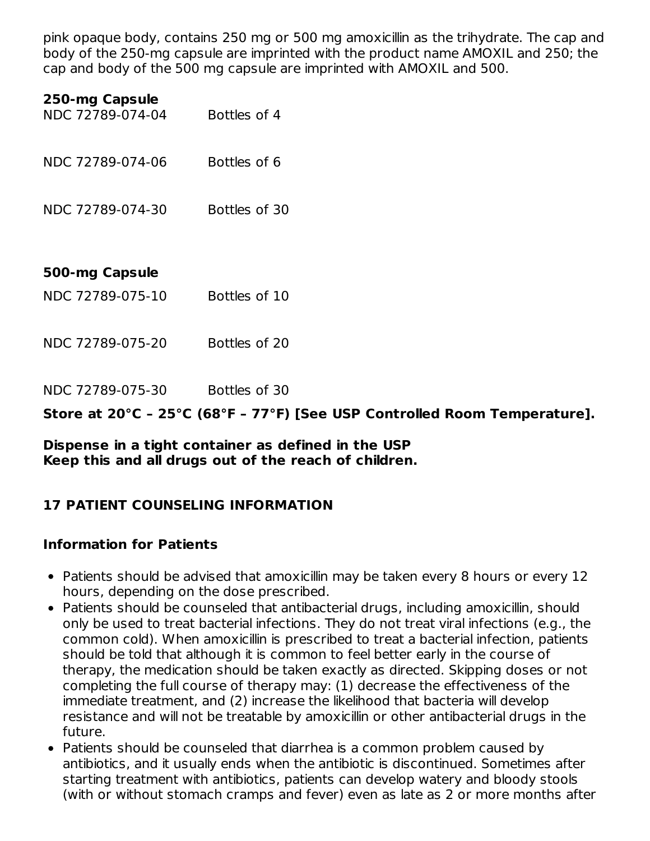pink opaque body, contains 250 mg or 500 mg amoxicillin as the trihydrate. The cap and body of the 250-mg capsule are imprinted with the product name AMOXIL and 250; the cap and body of the 500 mg capsule are imprinted with AMOXIL and 500.

#### **250-mg Capsule**

- NDC 72789-074-04 Bottles of 4 NDC 72789-074-06 Bottles of 6 NDC 72789-074-30 Bottles of 30 **500-mg Capsule** NDC 72789-075-10 Bottles of 10 NDC 72789-075-20 Bottles of 20
- 

NDC 72789-075-30 Bottles of 30

**Store at 20°C – 25°C (68°F – 77°F) [See USP Controlled Room Temperature].**

#### **Dispense in a tight container as defined in the USP Keep this and all drugs out of the reach of children.**

### **17 PATIENT COUNSELING INFORMATION**

### **Information for Patients**

- Patients should be advised that amoxicillin may be taken every 8 hours or every 12 hours, depending on the dose prescribed.
- Patients should be counseled that antibacterial drugs, including amoxicillin, should only be used to treat bacterial infections. They do not treat viral infections (e.g., the common cold). When amoxicillin is prescribed to treat a bacterial infection, patients should be told that although it is common to feel better early in the course of therapy, the medication should be taken exactly as directed. Skipping doses or not completing the full course of therapy may: (1) decrease the effectiveness of the immediate treatment, and (2) increase the likelihood that bacteria will develop resistance and will not be treatable by amoxicillin or other antibacterial drugs in the future.
- Patients should be counseled that diarrhea is a common problem caused by antibiotics, and it usually ends when the antibiotic is discontinued. Sometimes after starting treatment with antibiotics, patients can develop watery and bloody stools (with or without stomach cramps and fever) even as late as 2 or more months after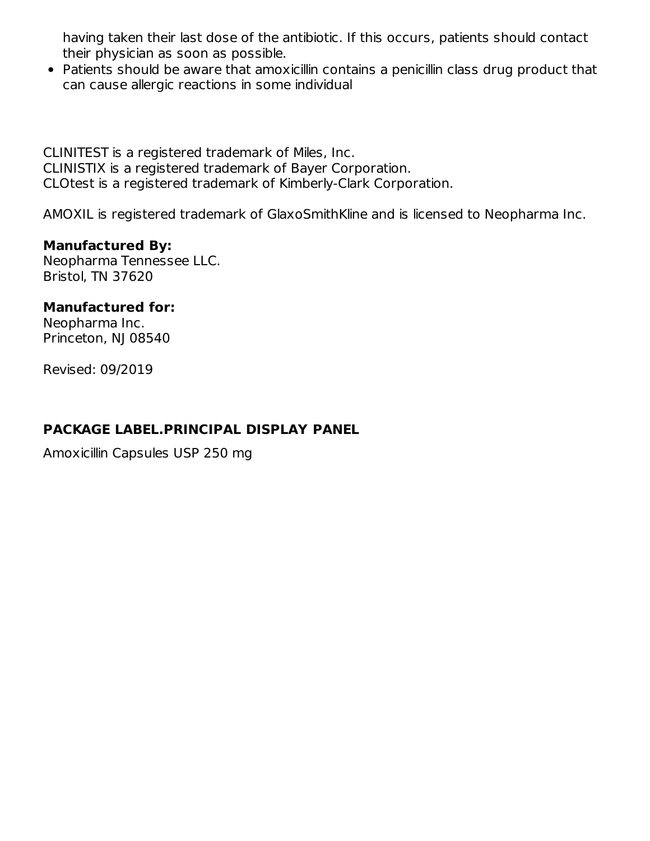having taken their last dose of the antibiotic. If this occurs, patients should contact their physician as soon as possible.

• Patients should be aware that amoxicillin contains a penicillin class drug product that can cause allergic reactions in some individual

CLINITEST is a registered trademark of Miles, Inc. CLINISTIX is a registered trademark of Bayer Corporation. CLOtest is a registered trademark of Kimberly-Clark Corporation.

AMOXIL is registered trademark of GlaxoSmithKline and is licensed to Neopharma Inc.

#### **Manufactured By:**

Neopharma Tennessee LLC. Bristol, TN 37620

#### **Manufactured for:**

Neopharma Inc. Princeton, NJ 08540

Revised: 09/2019

## **PACKAGE LABEL.PRINCIPAL DISPLAY PANEL**

Amoxicillin Capsules USP 250 mg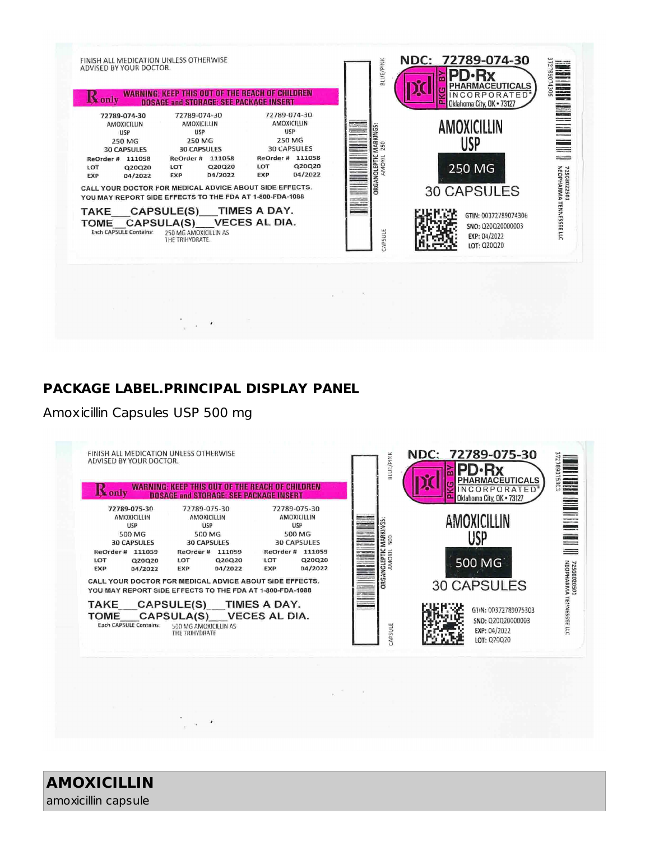

#### **PACKAGE LABEL.PRINCIPAL DISPLAY PANEL**

#### Amoxicillin Capsules USP 500 mg



**AMOXICILLIN** amoxicillin capsule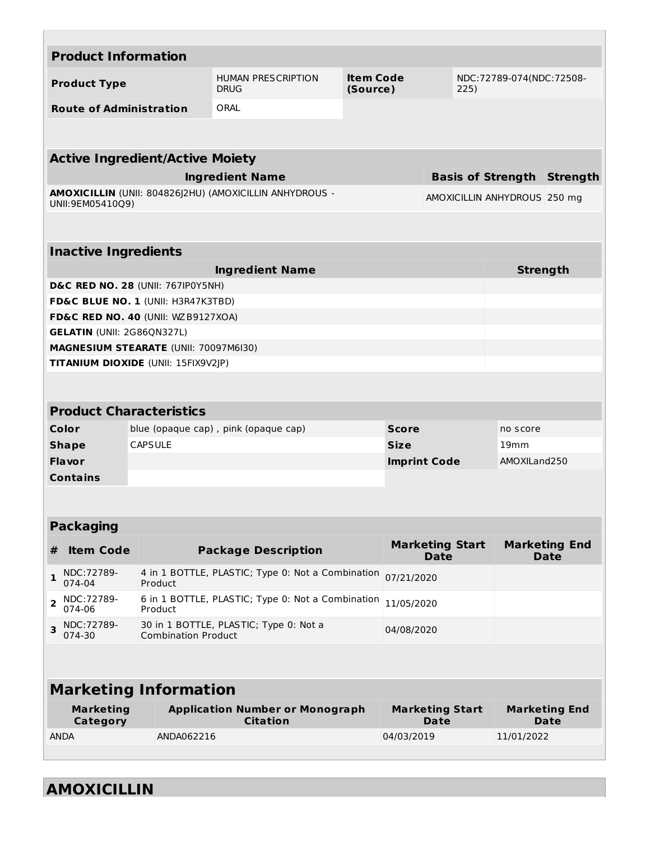|                | <b>Product Information</b>        |                                              |                                                           |                              |                                       |                          |                                     |
|----------------|-----------------------------------|----------------------------------------------|-----------------------------------------------------------|------------------------------|---------------------------------------|--------------------------|-------------------------------------|
|                | <b>Product Type</b>               |                                              | <b>HUMAN PRESCRIPTION</b><br><b>DRUG</b>                  | <b>Item Code</b><br>(Source) | 225)                                  | NDC:72789-074(NDC:72508- |                                     |
|                | <b>Route of Administration</b>    |                                              | ORAL                                                      |                              |                                       |                          |                                     |
|                |                                   |                                              |                                                           |                              |                                       |                          |                                     |
|                |                                   |                                              |                                                           |                              |                                       |                          |                                     |
|                |                                   | <b>Active Ingredient/Active Moiety</b>       |                                                           |                              |                                       |                          |                                     |
|                |                                   |                                              | <b>Ingredient Name</b>                                    |                              | <b>Basis of Strength Strength</b>     |                          |                                     |
|                | UNII:9EM05410Q9)                  |                                              | AMOXICILLIN (UNII: 804826J2HU) (AMOXICILLIN ANHYDROUS -   |                              | AMOXICILLIN ANHYDROUS 250 mg          |                          |                                     |
|                |                                   |                                              |                                                           |                              |                                       |                          |                                     |
|                | <b>Inactive Ingredients</b>       |                                              |                                                           |                              |                                       |                          |                                     |
|                |                                   |                                              | <b>Ingredient Name</b>                                    |                              |                                       | <b>Strength</b>          |                                     |
|                |                                   | <b>D&amp;C RED NO. 28 (UNII: 767IP0Y5NH)</b> |                                                           |                              |                                       |                          |                                     |
|                |                                   | FD&C BLUE NO. 1 (UNII: H3R47K3TBD)           |                                                           |                              |                                       |                          |                                     |
|                |                                   | FD&C RED NO. 40 (UNII: WZB9127XOA)           |                                                           |                              |                                       |                          |                                     |
|                | <b>GELATIN (UNII: 2G86QN327L)</b> |                                              |                                                           |                              |                                       |                          |                                     |
|                |                                   | <b>MAGNESIUM STEARATE (UNII: 70097M6I30)</b> |                                                           |                              |                                       |                          |                                     |
|                |                                   | <b>TITANIUM DIOXIDE (UNII: 15FIX9V2JP)</b>   |                                                           |                              |                                       |                          |                                     |
|                |                                   |                                              |                                                           |                              |                                       |                          |                                     |
|                |                                   | <b>Product Characteristics</b>               |                                                           |                              |                                       |                          |                                     |
|                | Color                             |                                              | blue (opaque cap), pink (opaque cap)                      | <b>Score</b>                 |                                       | no score                 |                                     |
|                | <b>Shape</b>                      | <b>CAPSULE</b>                               |                                                           | <b>Size</b>                  |                                       | 19 <sub>mm</sub>         |                                     |
|                | Flavor                            |                                              |                                                           |                              | <b>Imprint Code</b>                   | AMOXILand250             |                                     |
|                | <b>Contains</b>                   |                                              |                                                           |                              |                                       |                          |                                     |
|                |                                   |                                              |                                                           |                              |                                       |                          |                                     |
|                |                                   |                                              |                                                           |                              |                                       |                          |                                     |
|                | <b>Packaging</b>                  |                                              |                                                           |                              |                                       |                          |                                     |
| #              | <b>Item Code</b>                  |                                              | <b>Package Description</b>                                |                              | <b>Marketing Start</b><br><b>Date</b> |                          | <b>Marketing End</b><br><b>Date</b> |
| 1              | NDC: 72789-<br>074-04             | Product                                      | 4 in 1 BOTTLE, PLASTIC; Type 0: Not a Combination         |                              | 07/21/2020                            |                          |                                     |
| $\overline{2}$ | NDC: 72789-<br>074-06             | Product                                      | 6 in 1 BOTTLE, PLASTIC; Type 0: Not a Combination         |                              | 11/05/2020                            |                          |                                     |
| 3              | NDC: 72789-<br>074-30             | <b>Combination Product</b>                   | 30 in 1 BOTTLE, PLASTIC; Type 0: Not a                    |                              | 04/08/2020                            |                          |                                     |
|                |                                   |                                              |                                                           |                              |                                       |                          |                                     |
|                |                                   | <b>Marketing Information</b>                 |                                                           |                              |                                       |                          |                                     |
|                | <b>Marketing</b><br>Category      |                                              | <b>Application Number or Monograph</b><br><b>Citation</b> |                              | <b>Marketing Start</b><br>Date        |                          | <b>Marketing End</b><br>Date        |
| <b>ANDA</b>    |                                   | ANDA062216                                   |                                                           | 04/03/2019                   |                                       | 11/01/2022               |                                     |
|                |                                   |                                              |                                                           |                              |                                       |                          |                                     |

**AMOXICILLIN**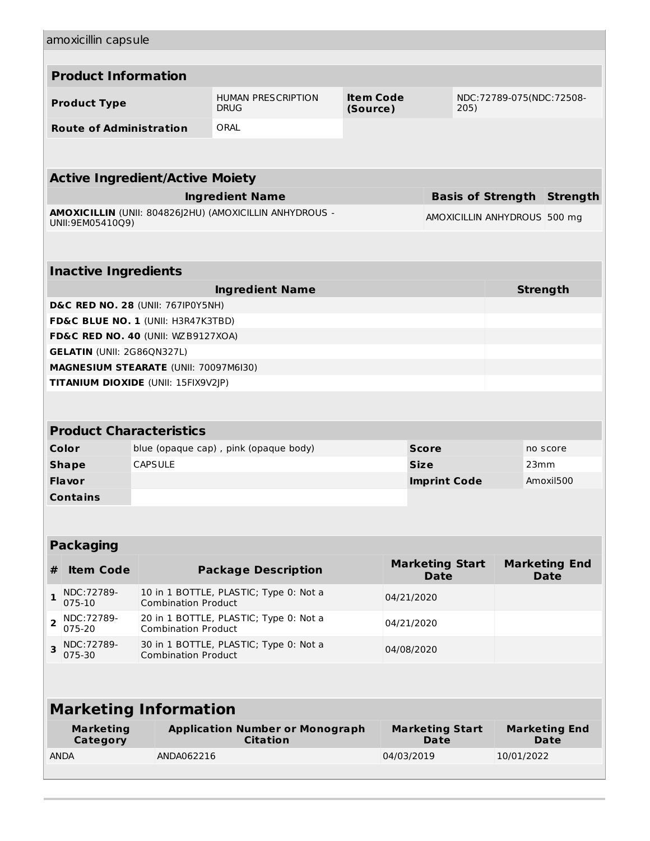| amoxicillin capsule                          |                                                                                    |                                                           |                              |                                       |      |                              |                                     |
|----------------------------------------------|------------------------------------------------------------------------------------|-----------------------------------------------------------|------------------------------|---------------------------------------|------|------------------------------|-------------------------------------|
| <b>Product Information</b>                   |                                                                                    |                                                           |                              |                                       |      |                              |                                     |
| <b>Product Type</b>                          |                                                                                    | <b>HUMAN PRESCRIPTION</b><br><b>DRUG</b>                  | <b>Item Code</b><br>(Source) |                                       | 205) | NDC:72789-075(NDC:72508-     |                                     |
| <b>Route of Administration</b>               |                                                                                    | ORAL                                                      |                              |                                       |      |                              |                                     |
|                                              |                                                                                    |                                                           |                              |                                       |      |                              |                                     |
| <b>Active Ingredient/Active Moiety</b>       |                                                                                    |                                                           |                              |                                       |      |                              |                                     |
|                                              |                                                                                    | <b>Ingredient Name</b>                                    |                              |                                       |      |                              | <b>Basis of Strength Strength</b>   |
| UNII:9EM05410Q9)                             |                                                                                    | AMOXICILLIN (UNII: 804826J2HU) (AMOXICILLIN ANHYDROUS -   |                              |                                       |      | AMOXICILLIN ANHYDROUS 500 mg |                                     |
| <b>Inactive Ingredients</b>                  |                                                                                    |                                                           |                              |                                       |      |                              |                                     |
|                                              |                                                                                    |                                                           |                              |                                       |      |                              |                                     |
| <b>D&amp;C RED NO. 28 (UNII: 767IP0Y5NH)</b> |                                                                                    | <b>Ingredient Name</b>                                    |                              |                                       |      |                              | <b>Strength</b>                     |
| FD&C BLUE NO. 1 (UNII: H3R47K3TBD)           |                                                                                    |                                                           |                              |                                       |      |                              |                                     |
| FD&C RED NO. 40 (UNII: WZB9127XOA)           |                                                                                    |                                                           |                              |                                       |      |                              |                                     |
| <b>GELATIN (UNII: 2G86QN327L)</b>            |                                                                                    |                                                           |                              |                                       |      |                              |                                     |
|                                              | MAGNESIUM STEARATE (UNII: 70097M6I30)                                              |                                                           |                              |                                       |      |                              |                                     |
| TITANIUM DIOXIDE (UNII: 15FIX9V2JP)          |                                                                                    |                                                           |                              |                                       |      |                              |                                     |
|                                              |                                                                                    |                                                           |                              |                                       |      |                              |                                     |
|                                              | <b>Product Characteristics</b>                                                     |                                                           |                              |                                       |      |                              |                                     |
| Color                                        |                                                                                    | blue (opaque cap), pink (opaque body)                     |                              | <b>Score</b>                          |      |                              | no score                            |
| <b>Shape</b>                                 | <b>CAPSULE</b>                                                                     |                                                           |                              | <b>Size</b>                           |      | 23mm                         |                                     |
| <b>Flavor</b>                                |                                                                                    |                                                           |                              | <b>Imprint Code</b>                   |      |                              | Amoxil500                           |
| <b>Contains</b>                              |                                                                                    |                                                           |                              |                                       |      |                              |                                     |
|                                              |                                                                                    |                                                           |                              |                                       |      |                              |                                     |
| <b>Packaging</b>                             |                                                                                    |                                                           |                              |                                       |      |                              |                                     |
| <b>Item Code</b><br>#                        |                                                                                    | <b>Package Description</b>                                |                              | <b>Marketing Start</b><br><b>Date</b> |      |                              | <b>Marketing End</b><br><b>Date</b> |
| NDC: 72789-<br>1<br>075-10                   | <b>Combination Product</b>                                                         | 10 in 1 BOTTLE, PLASTIC; Type 0: Not a                    |                              | 04/21/2020                            |      |                              |                                     |
| NDC:72789-<br>$\overline{2}$<br>075-20       | 20 in 1 BOTTLE, PLASTIC; Type 0: Not a<br>04/21/2020<br><b>Combination Product</b> |                                                           |                              |                                       |      |                              |                                     |
| NDC: 72789-<br>3<br>075-30                   | 30 in 1 BOTTLE, PLASTIC; Type 0: Not a<br>04/08/2020<br><b>Combination Product</b> |                                                           |                              |                                       |      |                              |                                     |
|                                              |                                                                                    |                                                           |                              |                                       |      |                              |                                     |
|                                              | <b>Marketing Information</b>                                                       |                                                           |                              |                                       |      |                              |                                     |
| <b>Marketing</b><br>Category                 |                                                                                    | <b>Application Number or Monograph</b><br><b>Citation</b> |                              | <b>Marketing Start</b><br><b>Date</b> |      |                              | <b>Marketing End</b><br><b>Date</b> |
| <b>ANDA</b>                                  | ANDA062216                                                                         |                                                           |                              | 04/03/2019                            |      | 10/01/2022                   |                                     |
|                                              |                                                                                    |                                                           |                              |                                       |      |                              |                                     |